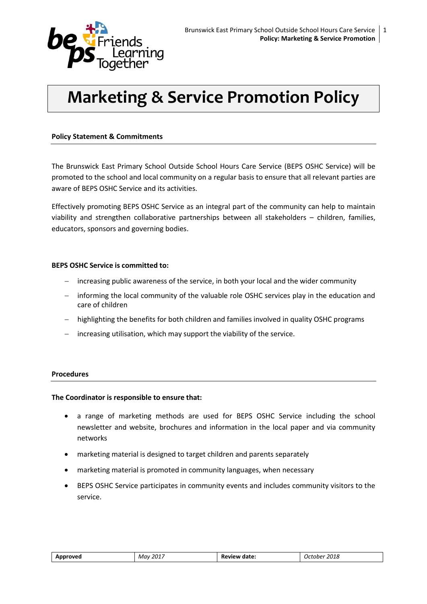

# **Marketing & Service Promotion Policy**

## **Policy Statement & Commitments**

The Brunswick East Primary School Outside School Hours Care Service (BEPS OSHC Service) will be promoted to the school and local community on a regular basis to ensure that all relevant parties are aware of BEPS OSHC Service and its activities.

Effectively promoting BEPS OSHC Service as an integral part of the community can help to maintain viability and strengthen collaborative partnerships between all stakeholders – children, families, educators, sponsors and governing bodies.

#### **BEPS OSHC Service is committed to:**

- increasing public awareness of the service, in both your local and the wider community
- informing the local community of the valuable role OSHC services play in the education and care of children
- highlighting the benefits for both children and families involved in quality OSHC programs
- increasing utilisation, which may support the viability of the service.

#### **Procedures**

#### **The Coordinator is responsible to ensure that:**

- a range of marketing methods are used for BEPS OSHC Service including the school newsletter and website, brochures and information in the local paper and via community networks
- marketing material is designed to target children and parents separately
- marketing material is promoted in community languages, when necessary
- BEPS OSHC Service participates in community events and includes community visitors to the service.

| Approved | .7017<br>Mav | date:<br>view<br>пı | 2018<br>ctober<br>$\cdot$ |
|----------|--------------|---------------------|---------------------------|
|----------|--------------|---------------------|---------------------------|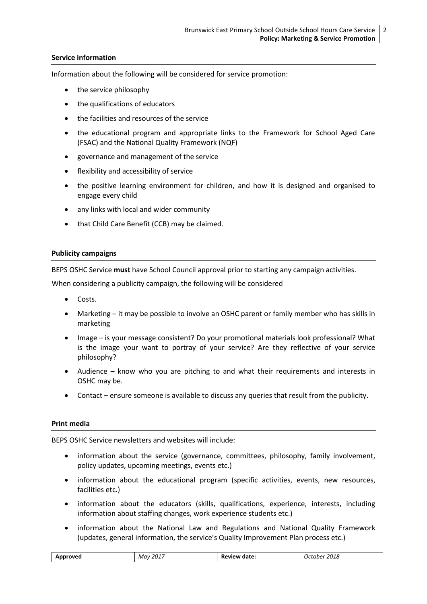### **Service information**

Information about the following will be considered for service promotion:

- the service philosophy
- the qualifications of educators
- the facilities and resources of the service
- the educational program and appropriate links to the Framework for School Aged Care (FSAC) and the National Quality Framework (NQF)
- governance and management of the service
- flexibility and accessibility of service
- the positive learning environment for children, and how it is designed and organised to engage every child
- any links with local and wider community
- that Child Care Benefit (CCB) may be claimed.

#### **Publicity campaigns**

BEPS OSHC Service **must** have School Council approval prior to starting any campaign activities.

When considering a publicity campaign, the following will be considered

- Costs.
- Marketing it may be possible to involve an OSHC parent or family member who has skills in marketing
- Image is your message consistent? Do your promotional materials look professional? What is the image your want to portray of your service? Are they reflective of your service philosophy?
- Audience know who you are pitching to and what their requirements and interests in OSHC may be.
- Contact ensure someone is available to discuss any queries that result from the publicity.

#### **Print media**

BEPS OSHC Service newsletters and websites will include:

- information about the service (governance, committees, philosophy, family involvement, policy updates, upcoming meetings, events etc.)
- information about the educational program (specific activities, events, new resources, facilities etc.)
- information about the educators (skills, qualifications, experience, interests, including information about staffing changes, work experience students etc.)
- information about the National Law and Regulations and National Quality Framework (updates, general information, the service's Quality Improvement Plan process etc.)

| າroved<br>ADI | $1201^-$<br>Mav<br>____ | date:<br>$Pov_{\text{max}}$<br><b>HAW</b><br>nŧ | 2018<br>tober<br>. .<br>___ |
|---------------|-------------------------|-------------------------------------------------|-----------------------------|
|---------------|-------------------------|-------------------------------------------------|-----------------------------|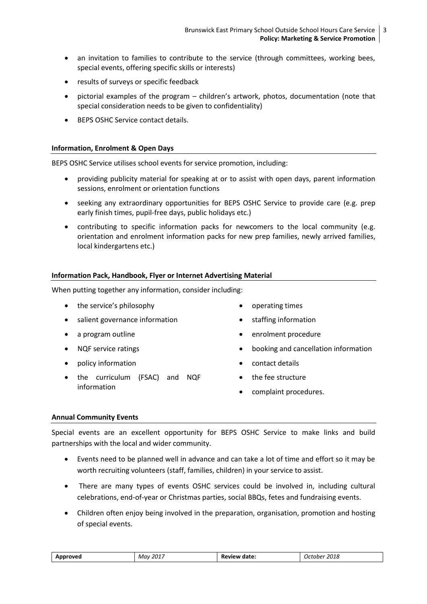- an invitation to families to contribute to the service (through committees, working bees, special events, offering specific skills or interests)
- results of surveys or specific feedback
- pictorial examples of the program children's artwork, photos, documentation (note that special consideration needs to be given to confidentiality)
- BEPS OSHC Service contact details.

#### **Information, Enrolment & Open Days**

BEPS OSHC Service utilises school events for service promotion, including:

- providing publicity material for speaking at or to assist with open days, parent information sessions, enrolment or orientation functions
- seeking any extraordinary opportunities for BEPS OSHC Service to provide care (e.g. prep early finish times, pupil-free days, public holidays etc.)
- contributing to specific information packs for newcomers to the local community (e.g. orientation and enrolment information packs for new prep families, newly arrived families, local kindergartens etc.)

#### **Information Pack, Handbook, Flyer or Internet Advertising Material**

When putting together any information, consider including:

- the service's philosophy
- salient governance information
- a program outline
- NQF service ratings
- policy information
- the curriculum (FSAC) and NQF information
- operating times
- staffing information
- enrolment procedure
- booking and cancellation information
- contact details
- the fee structure
- complaint procedures.

#### **Annual Community Events**

Special events are an excellent opportunity for BEPS OSHC Service to make links and build partnerships with the local and wider community.

- Events need to be planned well in advance and can take a lot of time and effort so it may be worth recruiting volunteers (staff, families, children) in your service to assist.
- There are many types of events OSHC services could be involved in, including cultural celebrations, end-of-year or Christmas parties, social BBQs, fetes and fundraising events.
- Children often enjoy being involved in the preparation, organisation, promotion and hosting of special events.

| 2017<br>Approved<br>Mav | date:<br>- Re'<br><b>view</b> | 2018<br>October |
|-------------------------|-------------------------------|-----------------|
|-------------------------|-------------------------------|-----------------|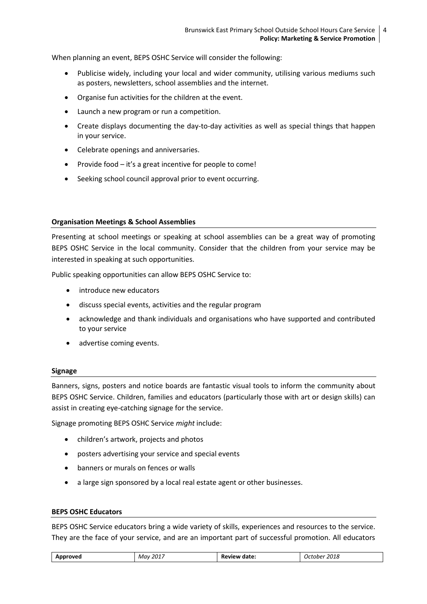When planning an event, BEPS OSHC Service will consider the following:

- Publicise widely, including your local and wider community, utilising various mediums such as posters, newsletters, school assemblies and the internet.
- Organise fun activities for the children at the event.
- Launch a new program or run a competition.
- Create displays documenting the day-to-day activities as well as special things that happen in your service.
- Celebrate openings and anniversaries.
- Provide food  $-$  it's a great incentive for people to come!
- Seeking school council approval prior to event occurring.

#### **Organisation Meetings & School Assemblies**

Presenting at school meetings or speaking at school assemblies can be a great way of promoting BEPS OSHC Service in the local community. Consider that the children from your service may be interested in speaking at such opportunities.

Public speaking opportunities can allow BEPS OSHC Service to:

- introduce new educators
- discuss special events, activities and the regular program
- acknowledge and thank individuals and organisations who have supported and contributed to your service
- advertise coming events.

#### **Signage**

Banners, signs, posters and notice boards are fantastic visual tools to inform the community about BEPS OSHC Service. Children, families and educators (particularly those with art or design skills) can assist in creating eye-catching signage for the service.

Signage promoting BEPS OSHC Service *might* include:

- children's artwork, projects and photos
- posters advertising your service and special events
- banners or murals on fences or walls
- a large sign sponsored by a local real estate agent or other businesses.

#### **BEPS OSHC Educators**

BEPS OSHC Service educators bring a wide variety of skills, experiences and resources to the service. They are the face of your service, and are an important part of successful promotion. All educators

| Approved | , 2017<br>Mav<br>$\sim$ $\sim$ $\sim$ $\sim$ | date.<br>Review | 2018<br>October<br>__ |
|----------|----------------------------------------------|-----------------|-----------------------|
|----------|----------------------------------------------|-----------------|-----------------------|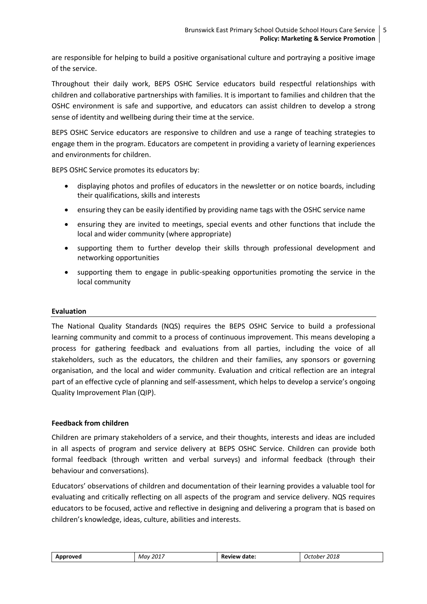are responsible for helping to build a positive organisational culture and portraying a positive image of the service.

Throughout their daily work, BEPS OSHC Service educators build respectful relationships with children and collaborative partnerships with families. It is important to families and children that the OSHC environment is safe and supportive, and educators can assist children to develop a strong sense of identity and wellbeing during their time at the service.

BEPS OSHC Service educators are responsive to children and use a range of teaching strategies to engage them in the program. Educators are competent in providing a variety of learning experiences and environments for children.

BEPS OSHC Service promotes its educators by:

- displaying photos and profiles of educators in the newsletter or on notice boards, including their qualifications, skills and interests
- ensuring they can be easily identified by providing name tags with the OSHC service name
- ensuring they are invited to meetings, special events and other functions that include the local and wider community (where appropriate)
- supporting them to further develop their skills through professional development and networking opportunities
- supporting them to engage in public-speaking opportunities promoting the service in the local community

## **Evaluation**

The National Quality Standards (NQS) requires the BEPS OSHC Service to build a professional learning community and commit to a process of continuous improvement. This means developing a process for gathering feedback and evaluations from all parties, including the voice of all stakeholders, such as the educators, the children and their families, any sponsors or governing organisation, and the local and wider community. Evaluation and critical reflection are an integral part of an effective cycle of planning and self-assessment, which helps to develop a service's ongoing Quality Improvement Plan (QIP).

## **Feedback from children**

Children are primary stakeholders of a service, and their thoughts, interests and ideas are included in all aspects of program and service delivery at BEPS OSHC Service. Children can provide both formal feedback (through written and verbal surveys) and informal feedback (through their behaviour and conversations).

Educators' observations of children and documentation of their learning provides a valuable tool for evaluating and critically reflecting on all aspects of the program and service delivery. NQS requires educators to be focused, active and reflective in designing and delivering a program that is based on children's knowledge, ideas, culture, abilities and interests.

| 2017<br>2018<br>Mav<br>date<br>Approved<br>October<br>:view<br>n. |  |  |  |  |
|-------------------------------------------------------------------|--|--|--|--|
|-------------------------------------------------------------------|--|--|--|--|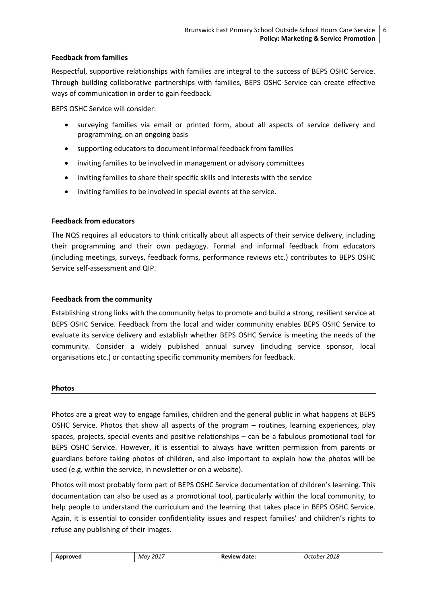## **Feedback from families**

Respectful, supportive relationships with families are integral to the success of BEPS OSHC Service. Through building collaborative partnerships with families, BEPS OSHC Service can create effective ways of communication in order to gain feedback.

BEPS OSHC Service will consider:

- surveying families via email or printed form, about all aspects of service delivery and programming, on an ongoing basis
- supporting educators to document informal feedback from families
- inviting families to be involved in management or advisory committees
- inviting families to share their specific skills and interests with the service
- inviting families to be involved in special events at the service.

#### **Feedback from educators**

The NQS requires all educators to think critically about all aspects of their service delivery, including their programming and their own pedagogy. Formal and informal feedback from educators (including meetings, surveys, feedback forms, performance reviews etc.) contributes to BEPS OSHC Service self-assessment and QIP.

## **Feedback from the community**

Establishing strong links with the community helps to promote and build a strong, resilient service at BEPS OSHC Service. Feedback from the local and wider community enables BEPS OSHC Service to evaluate its service delivery and establish whether BEPS OSHC Service is meeting the needs of the community. Consider a widely published annual survey (including service sponsor, local organisations etc.) or contacting specific community members for feedback.

#### **Photos**

Photos are a great way to engage families, children and the general public in what happens at BEPS OSHC Service. Photos that show all aspects of the program – routines, learning experiences, play spaces, projects, special events and positive relationships – can be a fabulous promotional tool for BEPS OSHC Service. However, it is essential to always have written permission from parents or guardians before taking photos of children, and also important to explain how the photos will be used (e.g. within the service, in newsletter or on a website).

Photos will most probably form part of BEPS OSHC Service documentation of children's learning. This documentation can also be used as a promotional tool, particularly within the local community, to help people to understand the curriculum and the learning that takes place in BEPS OSHC Service. Again, it is essential to consider confidentiality issues and respect families' and children's rights to refuse any publishing of their images.

| <b>`rovec</b><br>-- | 2017<br>Μαν<br>____ | Review<br>date.<br>.<br>______ | 2018<br>cober<br>$\overline{ }$<br>____<br>- - - - - - |
|---------------------|---------------------|--------------------------------|--------------------------------------------------------|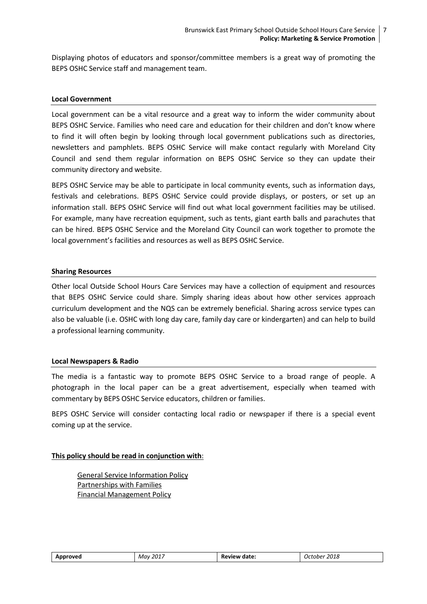Displaying photos of educators and sponsor/committee members is a great way of promoting the BEPS OSHC Service staff and management team.

#### **Local Government**

Local government can be a vital resource and a great way to inform the wider community about BEPS OSHC Service. Families who need care and education for their children and don't know where to find it will often begin by looking through local government publications such as directories, newsletters and pamphlets. BEPS OSHC Service will make contact regularly with Moreland City Council and send them regular information on BEPS OSHC Service so they can update their community directory and website.

BEPS OSHC Service may be able to participate in local community events, such as information days, festivals and celebrations. BEPS OSHC Service could provide displays, or posters, or set up an information stall. BEPS OSHC Service will find out what local government facilities may be utilised. For example, many have recreation equipment, such as tents, giant earth balls and parachutes that can be hired. BEPS OSHC Service and the Moreland City Council can work together to promote the local government's facilities and resources as well as BEPS OSHC Service.

#### **Sharing Resources**

Other local Outside School Hours Care Services may have a collection of equipment and resources that BEPS OSHC Service could share. Simply sharing ideas about how other services approach curriculum development and the NQS can be extremely beneficial. Sharing across service types can also be valuable (i.e. OSHC with long day care, family day care or kindergarten) and can help to build a professional learning community.

#### **Local Newspapers & Radio**

The media is a fantastic way to promote BEPS OSHC Service to a broad range of people. A photograph in the local paper can be a great advertisement, especially when teamed with commentary by BEPS OSHC Service educators, children or families.

BEPS OSHC Service will consider contacting local radio or newspaper if there is a special event coming up at the service.

#### **This policy should be read in conjunction with**:

General Service Information Policy Partnerships with Families Financial Management Policy

| <b>ייר</b><br>____ | .701<br>May | date:<br>אי<br>______ | 2040<br>2018<br>.nne*<br>____<br>- - - - - - |
|--------------------|-------------|-----------------------|----------------------------------------------|